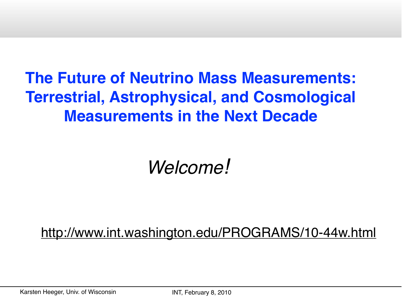## **The Future of Neutrino Mass Measurements: Terrestrial, Astrophysical, and Cosmological Measurements in the Next Decade**

# *Welcome!*

<http://www.int.washington.edu/PROGRAMS/10-44w.html>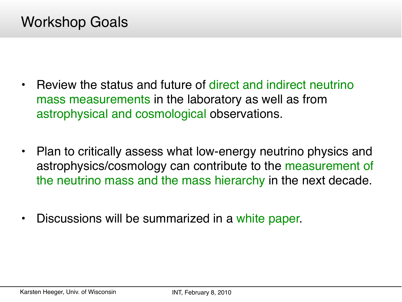- Review the status and future of direct and indirect neutrino mass measurements in the laboratory as well as from astrophysical and cosmological observations.
- Plan to critically assess what low-energy neutrino physics and astrophysics/cosmology can contribute to the measurement of the neutrino mass and the mass hierarchy in the next decade.
- Discussions will be summarized in a white paper.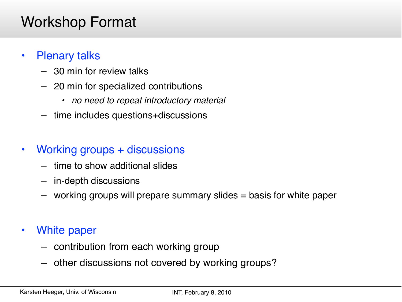#### Workshop Format

#### • Plenary talks

- 30 min for review talks
- 20 min for specialized contributions
	- *• no need to repeat introductory material*
- time includes questions+discussions
- Working groups + discussions
	- time to show additional slides
	- in-depth discussions
	- working groups will prepare summary slides = basis for white paper
- White paper
	- contribution from each working group
	- other discussions not covered by working groups?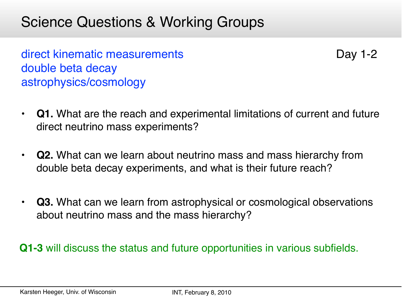#### Science Questions & Working Groups

direct kinematic measurements double beta decay astrophysics/cosmology

Day 1-2

- **Q1.** What are the reach and experimental limitations of current and future direct neutrino mass experiments?
- **Q2.** What can we learn about neutrino mass and mass hierarchy from double beta decay experiments, and what is their future reach?
- **Q3.** What can we learn from astrophysical or cosmological observations about neutrino mass and the mass hierarchy?

**Q1-3** will discuss the status and future opportunities in various subfields.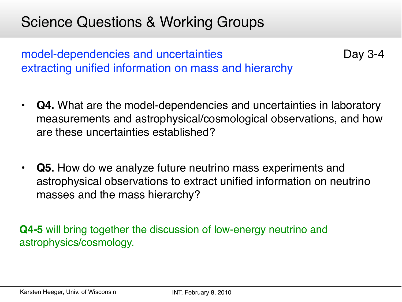#### Science Questions & Working Groups

model-dependencies and uncertainties extracting unified information on mass and hierarchy

• **Q4.** What are the model-dependencies and uncertainties in laboratory measurements and astrophysical/cosmological observations, and how are these uncertainties established?

Day 3-4

• **Q5.** How do we analyze future neutrino mass experiments and astrophysical observations to extract unified information on neutrino masses and the mass hierarchy?

**Q4-5** will bring together the discussion of low-energy neutrino and astrophysics/cosmology.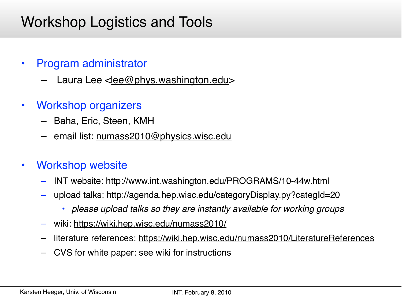### Workshop Logistics and Tools

- Program administrator
	- Laura Lee [<lee@phys.washington.edu>](mailto:lee@phys.washington.edu)
- Workshop organizers
	- Baha, Eric, Steen, KMH
	- email list: [numass2010@physics.wisc.edu](mailto:numass2010@physics.wisc.edu)
- Workshop website
	- INT website:<http://www.int.washington.edu/PROGRAMS/10-44w.html>
	- upload talks:<http://agenda.hep.wisc.edu/categoryDisplay.py?categId=20>
		- *• please upload talks so they are instantly available for working groups*
	- wiki:<https://wiki.hep.wisc.edu/numass2010/>
	- literature references:<https://wiki.hep.wisc.edu/numass2010/LiteratureReferences>
	- CVS for white paper: see wiki for instructions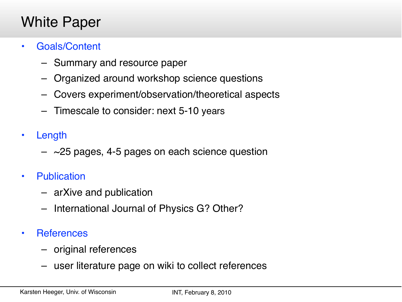#### White Paper

- Goals/Content
	- Summary and resource paper
	- Organized around workshop science questions
	- Covers experiment/observation/theoretical aspects
	- Timescale to consider: next 5-10 years
- Length
	- $-$  ~25 pages, 4-5 pages on each science question
- Publication
	- arXive and publication
	- International Journal of Physics G? Other?
- References
	- original references
	- user literature page on wiki to collect references